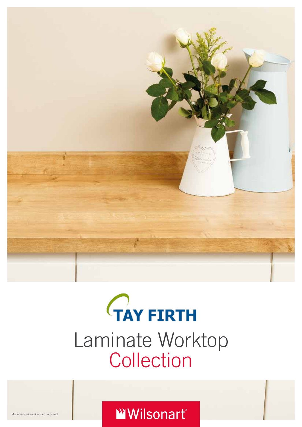

# **TAY FIRTH** Laminate Worktop **Collection**

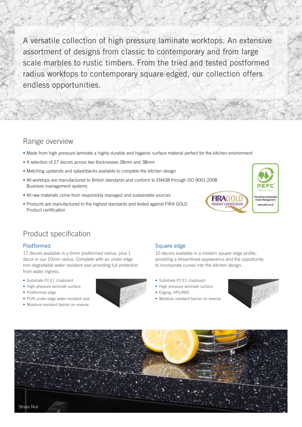A versatile collection of high pressure laminate worktops. An extensive assortment of designs from classic to contemporary and from large scale marbles to rustic timbers. From the tried and tested postformed radius worktops to contemporary square edged, our collection offers endless opportunities.

#### Range overview

- Made from high pressure laminate a highly durable and hygienic surface material perfect for the kitchen environment
- A selection of 27 decors across two thicknesses 28mm and 38mm
- Matching upstands and splashbacks available to complete the kitchen design
- All worktops are manufactured to British standards and conform to EN438 through ISO 9001:2008 Business management systems
- All raw materials come from responsibly managed and sustainable sources
- Products are manufactured to the highest standards and tested against FIRA GOLD Product certification



#### Product specification

#### Postformed

17 decors available in a 6mm postformed radius, plus 1 decor in our 10mm radius. Complete with an under edge non-degradable water resistant seal providing full protection from water ingress.

- **•** Substrate P2 E1 chipboard
- **•** High pressure laminate surface
- **•** Postformed edge
- **•** PUR under-edge water resistant seal
- **•** Moisture resistant barrier on reverse



#### Square edge

10 decors available in a modern square edge profile, providing a streamlined appearance and the opportunity to incorporate curves into the kitchen design.

- **•** Substrate P2 E1 chipboard
- **•** High pressure laminate surface
- **•** Edging; HPL/ABS
- **•** Moisture resistant barrier on reverse



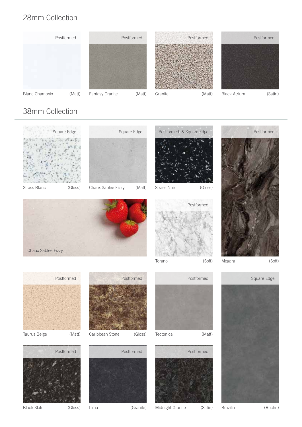#### 28mm Collection



### 38mm Collection











Torano (Soft) Megara (Soft)















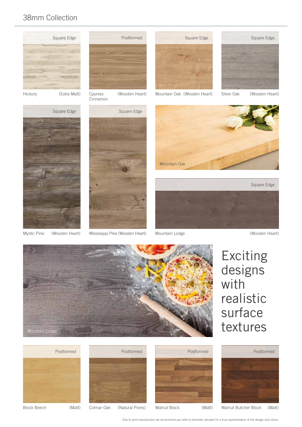#### 38mm Collection





## Exciting designs with realistic surface textures



Block Beech (Matt)





Colmar Oak (Natural Pores) Walnut Block (Matt) Walnut Butcher Block (Matt)

Due to print reproduction we recommend you refer to laminate samples for a true representation of the design and colour.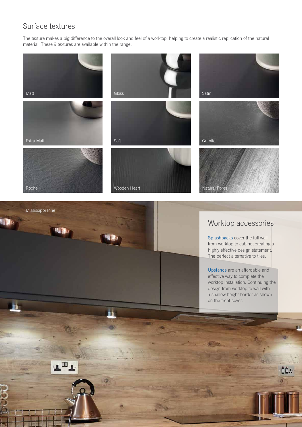### Surface textures

ாயா

**O** 

The texture makes a big difference to the overall look and feel of a worktop, helping to create a realistic replication of the natural material. These 9 textures are available within the range.





Splashbacks cover the full wall from worktop to cabinet creating a highly effective design statement. The perfect alternative to tiles.

Upstands are an affordable and effective way to complete the worktop installation. Continuing the design from worktop to wall with a shallow height border as shown on the front cover.

D٦